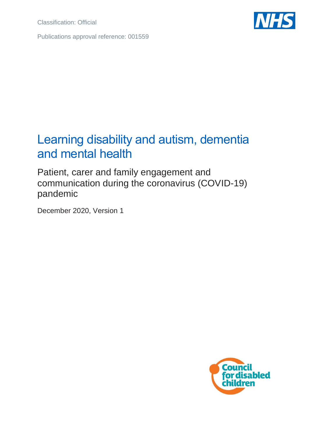Classification: Official

Publications approval reference: 001559



## Learning disability and autism, dementia and mental health

Patient, carer and family engagement and communication during the coronavirus (COVID-19) pandemic

December 2020, Version 1

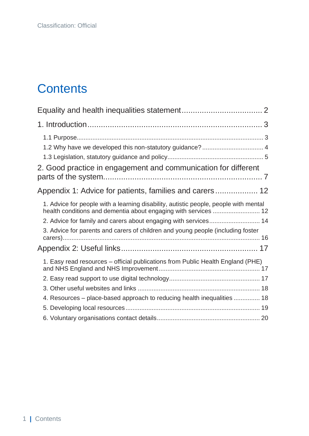# **Contents**

| 1.2 Why have we developed this non-statutory guidance?  4                            |
|--------------------------------------------------------------------------------------|
|                                                                                      |
| 2. Good practice in engagement and communication for different                       |
|                                                                                      |
| 1. Advice for people with a learning disability, autistic people, people with mental |
| 2. Advice for family and carers about engaging with services 14                      |
| 3. Advice for parents and carers of children and young people (including foster      |
|                                                                                      |
| 1. Easy read resources - official publications from Public Health England (PHE)      |
|                                                                                      |
|                                                                                      |
| 4. Resources - place-based approach to reducing health inequalities  18              |
|                                                                                      |
|                                                                                      |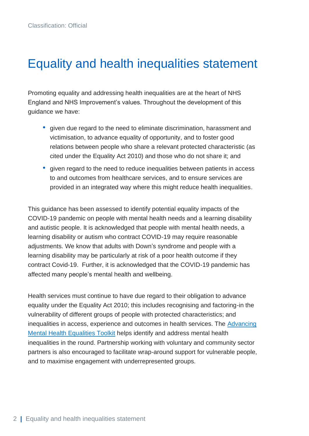## <span id="page-2-0"></span>Equality and health inequalities statement

Promoting equality and addressing health inequalities are at the heart of NHS England and NHS Improvement's values. Throughout the development of this guidance we have:

- given due regard to the need to eliminate discrimination, harassment and victimisation, to advance equality of opportunity, and to foster good relations between people who share a relevant protected characteristic (as cited under the Equality Act 2010) and those who do not share it; and
- given regard to the need to reduce inequalities between patients in access to and outcomes from healthcare services, and to ensure services are provided in an integrated way where this might reduce health inequalities.

This guidance has been assessed to identify potential equality impacts of the COVID-19 pandemic on people with mental health needs and a learning disability and autistic people. It is acknowledged that people with mental health needs, a learning disability or autism who contract COVID-19 may require reasonable adjustments. We know that adults with Down's syndrome and people with a learning disability may be particularly at risk of a poor health outcome if they contract Covid-19. Further, it is acknowledged that the COVID-19 pandemic has affected many people's mental health and wellbeing.

Health services must continue to have due regard to their obligation to advance equality under the Equality Act 2010; this includes recognising and factoring-in the vulnerability of different groups of people with protected characteristics; and inequalities in access, experience and outcomes in health services. The [Advancing](https://www.england.nhs.uk/ltphimenu/mental-health/advancing-mental-health-equalities/)  [Mental Health Equalities Toolkit](https://www.england.nhs.uk/ltphimenu/mental-health/advancing-mental-health-equalities/) helps identify and address mental health inequalities in the round. Partnership working with voluntary and community sector partners is also encouraged to facilitate wrap-around support for vulnerable people, and to maximise engagement with underrepresented groups.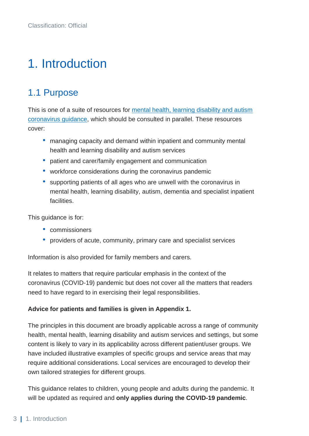# <span id="page-3-0"></span>1. Introduction

## <span id="page-3-1"></span>1.1 Purpose

This is one of a suite of resources for [mental health, learning disability and autism](https://www.england.nhs.uk/coronavirus/community-social-care-ambulance/mental-health/)  [coronavirus guidance,](https://www.england.nhs.uk/coronavirus/community-social-care-ambulance/mental-health/) which should be consulted in parallel. These resources cover:

- managing capacity and demand within inpatient and community mental health and learning disability and autism services
- patient and carer/family engagement and communication
- workforce considerations during the coronavirus pandemic
- supporting patients of all ages who are unwell with the coronavirus in mental health, learning disability, autism, dementia and specialist inpatient facilities.

This guidance is for:

- commissioners
- providers of acute, community, primary care and specialist services

Information is also provided for family members and carers.

It relates to matters that require particular emphasis in the context of the coronavirus (COVID-19) pandemic but does not cover all the matters that readers need to have regard to in exercising their legal responsibilities.

#### **Advice for patients and families is given in Appendix 1.**

The principles in this document are broadly applicable across a range of community health, mental health, learning disability and autism services and settings, but some content is likely to vary in its applicability across different patient/user groups. We have included illustrative examples of specific groups and service areas that may require additional considerations. Local services are encouraged to develop their own tailored strategies for different groups.

This guidance relates to children, young people and adults during the pandemic. It will be updated as required and **only applies during the COVID-19 pandemic**.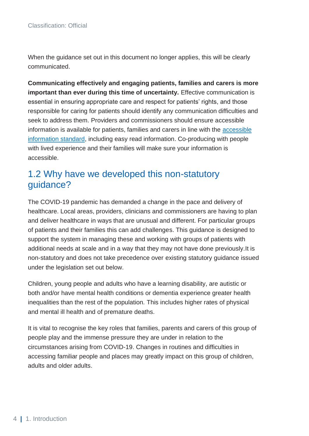When the guidance set out in this document no longer applies, this will be clearly communicated.

**Communicating effectively and engaging patients, families and carers is more important than ever during this time of uncertainty.** Effective communication is essential in ensuring appropriate care and respect for patients' rights, and those responsible for caring for patients should identify any communication difficulties and seek to address them. Providers and commissioners should ensure accessible information is available for patients, families and carers in line with the [accessible](https://www.england.nhs.uk/ourwork/accessibleinfo/)  [information standard,](https://www.england.nhs.uk/ourwork/accessibleinfo/) including easy read information. Co-producing with people with lived experience and their families will make sure your information is accessible.

### <span id="page-4-0"></span>1.2 Why have we developed this non-statutory guidance?

The COVID-19 pandemic has demanded a change in the pace and delivery of healthcare. Local areas, providers, clinicians and commissioners are having to plan and deliver healthcare in ways that are unusual and different. For particular groups of patients and their families this can add challenges. This guidance is designed to support the system in managing these and working with groups of patients with additional needs at scale and in a way that they may not have done previously.It is non-statutory and does not take precedence over existing statutory guidance issued under the legislation set out below.

Children, young people and adults who have a learning disability, are autistic or both and/or have mental health conditions or dementia experience greater health inequalities than the rest of the population. This includes higher rates of physical and mental ill health and of premature deaths.

It is vital to recognise the key roles that families, parents and carers of this group of people play and the immense pressure they are under in relation to the circumstances arising from COVID-19. Changes in routines and difficulties in accessing familiar people and places may greatly impact on this group of children, adults and older adults.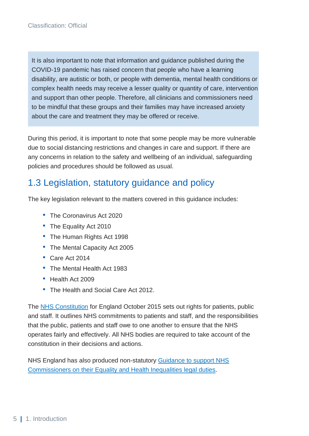It is also important to note that information and guidance published during the COVID-19 pandemic has raised concern that people who have a learning disability, are autistic or both, or people with dementia, mental health conditions or complex health needs may receive a lesser quality or quantity of care, intervention and support than other people. Therefore, all clinicians and commissioners need to be mindful that these groups and their families may have increased anxiety about the care and treatment they may be offered or receive.

During this period, it is important to note that some people may be more vulnerable due to social distancing restrictions and changes in care and support. If there are any concerns in relation to the safety and wellbeing of an individual, safeguarding policies and procedures should be followed as usual.

### <span id="page-5-0"></span>1.3 Legislation, statutory guidance and policy

The key legislation relevant to the matters covered in this guidance includes:

- The Coronavirus Act 2020
- The Equality Act 2010
- The Human Rights Act 1998
- The Mental Capacity Act 2005
- Care Act 2014
- The Mental Health Act 1983
- Health Act 2009
- The Health and Social Care Act 2012.

The [NHS Constitution](https://www.gov.uk/government/publications/the-nhs-constitution-for-england/the-nhs-constitution-for-england) for England October 2015 sets out rights for patients, public and staff. It outlines NHS commitments to patients and staff, and the responsibilities that the public, patients and staff owe to one another to ensure that the NHS operates fairly and effectively. All NHS bodies are required to take account of the constitution in their decisions and actions.

NHS England has also produced non-statutory [Guidance to support NHS](https://www.england.nhs.uk/about/equality/equality-hub/legal-duties/)  [Commissioners on their Equality and Health Inequalities legal duties](https://www.england.nhs.uk/about/equality/equality-hub/legal-duties/)*.*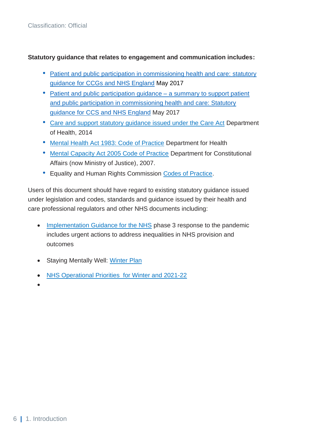#### **Statutory guidance that relates to engagement and communication includes:**

- [Patient and public participation in commissioning health and care:](https://www.england.nhs.uk/publication/patient-and-public-participation-in-commissioning-health-and-care-statutory-guidance-for-ccgs-and-nhs-england/) statutory [guidance for CCGs and NHS England](https://www.england.nhs.uk/publication/patient-and-public-participation-in-commissioning-health-and-care-statutory-guidance-for-ccgs-and-nhs-england/) May 2017
- Patient and public participation quidance a summary to support patient and public participation in commissioning health and care: Statutory guidance for CCS and NHS England May 2017
- [Care and support statutory guidance issued under the Care Act](https://assets.publishing.service.gov.uk/government/uploads/system/uploads/attachment_data/file/315993/Care-Act-Guidance.pdf) Department of Health, 2014
- [Mental Health Act 1983: Code of Practice](https://assets.publishing.service.gov.uk/government/uploads/system/uploads/attachment_data/file/435512/MHA_Code_of_Practice.PDF) Department for Health
- [Mental Capacity Act 2005 Code of Practice](https://www.gov.uk/government/publications/mental-capacity-act-code-of-practice) Department for Constitutional Affairs (now Ministry of Justice), 2007.
- Equality and Human Rights Commission [Codes of Practice.](https://www.equalityhumanrights.com/en/advice-and-guidance/equality-act-codes-practice)

Users of this document should have regard to existing statutory guidance issued under legislation and codes, standards and guidance issued by their health and care professional regulators and other NHS documents including:

- [Implementation Guidance for the NHS](https://www.england.nhs.uk/wp-content/uploads/2020/08/C0716_Implementing-phase-3-v1.1.pdf) phase 3 response to the pandemic includes urgent actions to address inequalities in NHS provision and outcomes
- Staying Mentally Well: [Winter Plan](https://www.gov.uk/government/publications/staying-mentally-well-winter-plan-2020-to-2021)
- [NHS Operational Priorities for Winter and 2021-22](https://www.england.nhs.uk/coronavirus/publication/important-operational-priorities-for-winter-and-2021-22/)
- •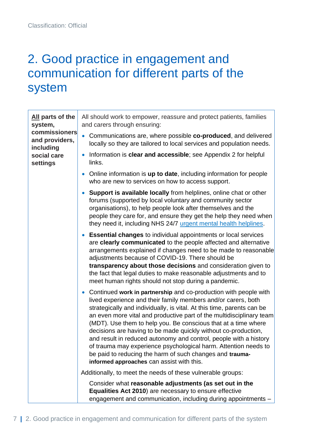## <span id="page-7-0"></span>2. Good practice in engagement and communication for different parts of the system

| All parts of the<br>system,<br>commissioners<br>and providers,<br>including<br>social care<br>settings | All should work to empower, reassure and protect patients, families<br>and carers through ensuring:                                                                                                                                                                                                                                                                                                                                                                                                                                                                                                                                                                                   |
|--------------------------------------------------------------------------------------------------------|---------------------------------------------------------------------------------------------------------------------------------------------------------------------------------------------------------------------------------------------------------------------------------------------------------------------------------------------------------------------------------------------------------------------------------------------------------------------------------------------------------------------------------------------------------------------------------------------------------------------------------------------------------------------------------------|
|                                                                                                        | Communications are, where possible co-produced, and delivered<br>locally so they are tailored to local services and population needs.                                                                                                                                                                                                                                                                                                                                                                                                                                                                                                                                                 |
|                                                                                                        | Information is clear and accessible; see Appendix 2 for helpful<br>$\bullet$<br>links.                                                                                                                                                                                                                                                                                                                                                                                                                                                                                                                                                                                                |
|                                                                                                        | Online information is up to date, including information for people<br>$\bullet$<br>who are new to services on how to access support.                                                                                                                                                                                                                                                                                                                                                                                                                                                                                                                                                  |
|                                                                                                        | <b>Support is available locally from helplines, online chat or other</b><br>$\bullet$<br>forums (supported by local voluntary and community sector<br>organisations), to help people look after themselves and the<br>people they care for, and ensure they get the help they need when<br>they need it, including NHS 24/7 urgent mental health helplines.                                                                                                                                                                                                                                                                                                                           |
|                                                                                                        | <b>Essential changes to individual appointments or local services</b><br>$\bullet$<br>are clearly communicated to the people affected and alternative<br>arrangements explained if changes need to be made to reasonable<br>adjustments because of COVID-19. There should be<br>transparency about those decisions and consideration given to<br>the fact that legal duties to make reasonable adjustments and to<br>meet human rights should not stop during a pandemic.                                                                                                                                                                                                             |
|                                                                                                        | Continued work in partnership and co-production with people with<br>$\bullet$<br>lived experience and their family members and/or carers, both<br>strategically and individually, is vital. At this time, parents can be<br>an even more vital and productive part of the multidisciplinary team<br>(MDT). Use them to help you. Be conscious that at a time where<br>decisions are having to be made quickly without co-production,<br>and result in reduced autonomy and control, people with a history<br>of trauma may experience psychological harm. Attention needs to<br>be paid to reducing the harm of such changes and trauma-<br>informed approaches can assist with this. |
|                                                                                                        | Additionally, to meet the needs of these vulnerable groups:                                                                                                                                                                                                                                                                                                                                                                                                                                                                                                                                                                                                                           |
|                                                                                                        | Consider what reasonable adjustments (as set out in the<br>Equalities Act 2010) are necessary to ensure effective<br>engagement and communication, including during appointments -                                                                                                                                                                                                                                                                                                                                                                                                                                                                                                    |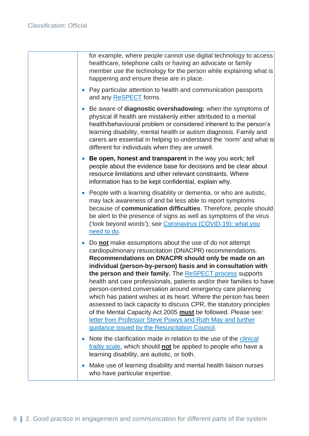| for example, where people cannot use digital technology to access<br>healthcare, telephone calls or having an advocate or family<br>member use the technology for the person while explaining what is<br>happening and ensure these are in place.                                                                                                                                                                                                                                                                                                                                                                                                                                                                                                                                    |
|--------------------------------------------------------------------------------------------------------------------------------------------------------------------------------------------------------------------------------------------------------------------------------------------------------------------------------------------------------------------------------------------------------------------------------------------------------------------------------------------------------------------------------------------------------------------------------------------------------------------------------------------------------------------------------------------------------------------------------------------------------------------------------------|
| Pay particular attention to health and communication passports<br>$\bullet$<br>and any ReSPECT forms.                                                                                                                                                                                                                                                                                                                                                                                                                                                                                                                                                                                                                                                                                |
| Be aware of diagnostic overshadowing: when the symptoms of<br>$\bullet$<br>physical ill health are mistakenly either attributed to a mental<br>health/behavioural problem or considered inherent to the person's<br>learning disability, mental health or autism diagnosis. Family and<br>carers are essential in helping to understand the 'norm' and what is<br>different for individuals when they are unwell.                                                                                                                                                                                                                                                                                                                                                                    |
| Be open, honest and transparent in the way you work; tell<br>$\bullet$<br>people about the evidence base for decisions and be clear about<br>resource limitations and other relevant constraints. Where<br>information has to be kept confidential, explain why.                                                                                                                                                                                                                                                                                                                                                                                                                                                                                                                     |
| • People with a learning disability or dementia, or who are autistic,<br>may lack awareness of and be less able to report symptoms<br>because of communication difficulties. Therefore, people should<br>be alert to the presence of signs as well as symptoms of the virus<br>('look beyond words'); see Coronavirus (COVID-19): what you<br>need to do.                                                                                                                                                                                                                                                                                                                                                                                                                            |
| Do not make assumptions about the use of do not attempt<br>$\bullet$<br>cardiopulmonary resuscitation (DNACPR) recommendations.<br>Recommendations on DNACPR should only be made on an<br>individual (person-by-person) basis and in consultation with<br>the person and their family. The ReSPECT process supports<br>health and care professionals, patients and/or their families to have<br>person-centred conversation around emergency care planning<br>which has patient wishes at its heart. Where the person has been<br>assessed to lack capacity to discuss CPR, the statutory principles<br>of the Mental Capacity Act 2005 must be followed. Please see:<br>letter from Professor Steve Powys and Ruth May and further<br>guidance issued by the Resuscitation Council. |
| Note the clarification made in relation to the use of the clinical<br>$\bullet$<br>frailty scale, which should not be applied to people who have a<br>learning disability, are autistic, or both.                                                                                                                                                                                                                                                                                                                                                                                                                                                                                                                                                                                    |
| Make use of learning disability and mental health liaison nurses<br>$\bullet$<br>who have particular expertise.                                                                                                                                                                                                                                                                                                                                                                                                                                                                                                                                                                                                                                                                      |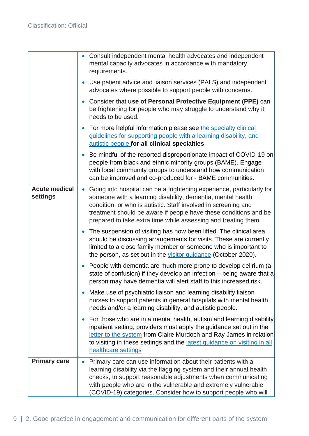|                                  | Consult independent mental health advocates and independent<br>$\bullet$<br>mental capacity advocates in accordance with mandatory<br>requirements.                                                                                                                                                                                                       |
|----------------------------------|-----------------------------------------------------------------------------------------------------------------------------------------------------------------------------------------------------------------------------------------------------------------------------------------------------------------------------------------------------------|
|                                  | Use patient advice and liaison services (PALS) and independent<br>$\bullet$<br>advocates where possible to support people with concerns.                                                                                                                                                                                                                  |
|                                  | Consider that use of Personal Protective Equipment (PPE) can<br>$\bullet$<br>be frightening for people who may struggle to understand why it<br>needs to be used.                                                                                                                                                                                         |
|                                  | For more helpful information please see the specialty clinical<br>$\bullet$<br>guidelines for supporting people with a learning disability, and<br>autistic people for all clinical specialties.                                                                                                                                                          |
|                                  | Be mindful of the reported disproportionate impact of COVID-19 on<br>$\bullet$<br>people from black and ethnic minority groups (BAME). Engage<br>with local community groups to understand how communication<br>can be improved and co-produced for - BAME communities.                                                                                   |
| <b>Acute medical</b><br>settings | Going into hospital can be a frightening experience, particularly for<br>$\bullet$<br>someone with a learning disability, dementia, mental health<br>condition, or who is autistic. Staff involved in screening and<br>treatment should be aware if people have these conditions and be<br>prepared to take extra time while assessing and treating them. |
|                                  | The suspension of visiting has now been lifted. The clinical area<br>should be discussing arrangements for visits. These are currently<br>limited to a close family member or someone who is important to<br>the person, as set out in the visitor guidance (October 2020).                                                                               |
|                                  | People with dementia are much more prone to develop delirium (a<br>$\bullet$<br>state of confusion) if they develop an infection – being aware that a<br>person may have dementia will alert staff to this increased risk.                                                                                                                                |
|                                  | Make use of psychiatric liaison and learning disability liaison<br>$\bullet$<br>nurses to support patients in general hospitals with mental health<br>needs and/or a learning disability, and autistic people.                                                                                                                                            |
|                                  | For those who are in a mental health, autism and learning disability<br>$\bullet$<br>inpatient setting, providers must apply the guidance set out in the<br>letter to the system from Claire Murdoch and Ray James in relation<br>to visiting in these settings and the latest guidance on visiting in all<br>healthcare settings                         |
| <b>Primary care</b>              | Primary care can use information about their patients with a<br>$\bullet$<br>learning disability via the flagging system and their annual health<br>checks, to support reasonable adjustments when communicating<br>with people who are in the vulnerable and extremely vulnerable<br>(COVID-19) categories. Consider how to support people who will      |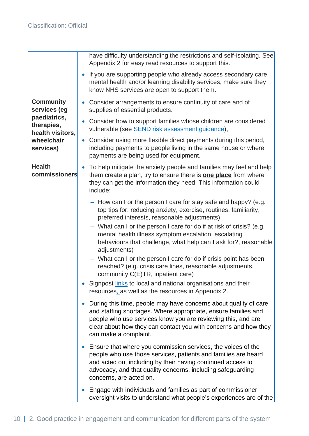|                                                                                                               | have difficulty understanding the restrictions and self-isolating. See<br>Appendix 2 for easy read resources to support this.                                                                                                                                                                               |
|---------------------------------------------------------------------------------------------------------------|-------------------------------------------------------------------------------------------------------------------------------------------------------------------------------------------------------------------------------------------------------------------------------------------------------------|
|                                                                                                               | If you are supporting people who already access secondary care<br>$\bullet$<br>mental health and/or learning disability services, make sure they<br>know NHS services are open to support them.                                                                                                             |
| <b>Community</b><br>services (eg<br>paediatrics,<br>therapies,<br>health visitors,<br>wheelchair<br>services) | Consider arrangements to ensure continuity of care and of<br>$\bullet$<br>supplies of essential products.                                                                                                                                                                                                   |
|                                                                                                               | Consider how to support families whose children are considered<br>$\bullet$<br>vulnerable (see <b>SEND</b> risk assessment guidance),                                                                                                                                                                       |
|                                                                                                               | Consider using more flexible direct payments during this period,<br>$\bullet$<br>including payments to people living in the same house or where<br>payments are being used for equipment.                                                                                                                   |
| <b>Health</b><br>commissioners                                                                                | To help mitigate the anxiety people and families may feel and help<br>$\bullet$<br>them create a plan, try to ensure there is <b>one place</b> from where<br>they can get the information they need. This information could<br>include:                                                                     |
|                                                                                                               | - How can I or the person I care for stay safe and happy? (e.g.<br>top tips for: reducing anxiety, exercise, routines, familiarity,<br>preferred interests, reasonable adjustments)                                                                                                                         |
|                                                                                                               | - What can I or the person I care for do if at risk of crisis? (e.g.<br>mental health illness symptom escalation, escalating<br>behaviours that challenge, what help can I ask for?, reasonable<br>adjustments)                                                                                             |
|                                                                                                               | - What can I or the person I care for do if crisis point has been<br>reached? (e.g. crisis care lines, reasonable adjustments,<br>community C(E)TR, inpatient care)                                                                                                                                         |
|                                                                                                               | Signpost links to local and national organisations and their<br>resources, as well as the resources in Appendix 2.                                                                                                                                                                                          |
|                                                                                                               | During this time, people may have concerns about quality of care<br>$\bullet$<br>and staffing shortages. Where appropriate, ensure families and<br>people who use services know you are reviewing this, and are<br>clear about how they can contact you with concerns and how they<br>can make a complaint. |
|                                                                                                               | • Ensure that where you commission services, the voices of the<br>people who use those services, patients and families are heard<br>and acted on, including by their having continued access to<br>advocacy, and that quality concerns, including safeguarding<br>concerns, are acted on.                   |
|                                                                                                               | Engage with individuals and families as part of commissioner<br>$\bullet$<br>oversight visits to understand what people's experiences are of the                                                                                                                                                            |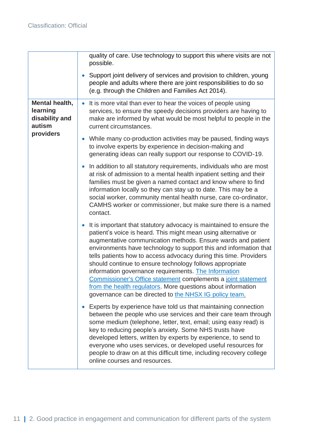|                                                                     | quality of care. Use technology to support this where visits are not<br>possible.                                                                                                                                                                                                                                                                                                                                                                                                                                                                                                                                                                              |
|---------------------------------------------------------------------|----------------------------------------------------------------------------------------------------------------------------------------------------------------------------------------------------------------------------------------------------------------------------------------------------------------------------------------------------------------------------------------------------------------------------------------------------------------------------------------------------------------------------------------------------------------------------------------------------------------------------------------------------------------|
|                                                                     | Support joint delivery of services and provision to children, young<br>people and adults where there are joint responsibilities to do so<br>(e.g. through the Children and Families Act 2014).                                                                                                                                                                                                                                                                                                                                                                                                                                                                 |
| Mental health,<br>learning<br>disability and<br>autism<br>providers | It is more vital than ever to hear the voices of people using<br>services, to ensure the speedy decisions providers are having to<br>make are informed by what would be most helpful to people in the<br>current circumstances.                                                                                                                                                                                                                                                                                                                                                                                                                                |
|                                                                     | While many co-production activities may be paused, finding ways<br>$\bullet$<br>to involve experts by experience in decision-making and<br>generating ideas can really support our response to COVID-19.                                                                                                                                                                                                                                                                                                                                                                                                                                                       |
|                                                                     | In addition to all statutory requirements, individuals who are most<br>at risk of admission to a mental health inpatient setting and their<br>families must be given a named contact and know where to find<br>information locally so they can stay up to date. This may be a<br>social worker, community mental health nurse, care co-ordinator,<br>CAMHS worker or commissioner, but make sure there is a named<br>contact.                                                                                                                                                                                                                                  |
|                                                                     | It is important that statutory advocacy is maintained to ensure the<br>patient's voice is heard. This might mean using alternative or<br>augmentative communication methods. Ensure wards and patient<br>environments have technology to support this and information that<br>tells patients how to access advocacy during this time. Providers<br>should continue to ensure technology follows appropriate<br>information governance requirements. The Information<br>Commissioner's Office statement complements a joint statement<br>from the health regulators. More questions about information<br>governance can be directed to the NHSX IG policy team. |
|                                                                     | Experts by experience have told us that maintaining connection<br>between the people who use services and their care team through<br>some medium (telephone, letter, text, email; using easy read) is<br>key to reducing people's anxiety. Some NHS trusts have<br>developed letters, written by experts by experience, to send to<br>everyone who uses services, or developed useful resources for<br>people to draw on at this difficult time, including recovery college<br>online courses and resources.                                                                                                                                                   |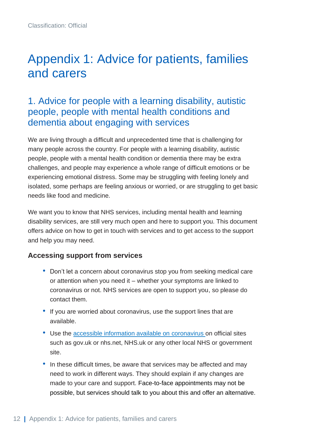## <span id="page-12-0"></span>Appendix 1: Advice for patients, families and carers

### <span id="page-12-1"></span>1. Advice for people with a learning disability, autistic people, people with mental health conditions and dementia about engaging with services

We are living through a difficult and unprecedented time that is challenging for many people across the country. For people with a learning disability, autistic people, people with a mental health condition or dementia there may be extra challenges, and people may experience a whole range of difficult emotions or be experiencing emotional distress. Some may be struggling with feeling lonely and isolated, some perhaps are feeling anxious or worried, or are struggling to get basic needs like food and medicine.

We want you to know that NHS services, including mental health and learning disability services, are still very much open and here to support you. This document offers advice on how to get in touch with services and to get access to the support and help you may need.

#### **Accessing support from services**

- Don't let a concern about coronavirus stop you from seeking medical care or attention when you need it – whether your symptoms are linked to coronavirus or not. NHS services are open to support you, so please do contact them.
- If you are worried about coronavirus, use the support lines that are available.
- Use the [accessible information available on coronavirus o](https://www.nhs.uk/conditions/coronavirus-covid-19/)n official sites such as gov.uk or nhs.net, NHS.uk or any other local NHS or government site.
- In these difficult times, be aware that services may be affected and may need to work in different ways. They should explain if any changes are made to your care and support. Face-to-face appointments may not be possible, but services should talk to you about this and offer an alternative.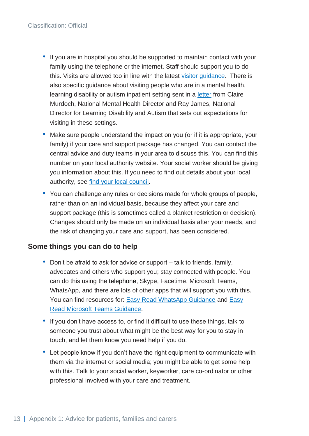- If you are in hospital you should be supported to maintain contact with your family using the telephone or the internet. Staff should support you to do this. Visits are allowed too in line with the latest [visitor guidance.](https://www.england.nhs.uk/coronavirus/publication/visitor-guidance/) There is also specific guidance about visiting people who are in a mental health, learning disability or autism inpatient setting sent in a [letter](https://www.england.nhs.uk/coronavirus/wp-content/uploads/sites/52/2020/04/C0799-_Visitor_letter_for_mental_health_learning_disability_and_autism_providers_231020.pdf) from Claire Murdoch, National Mental Health Director and Ray James, National Director for Learning Disability and Autism that sets out expectations for visiting in these settings.
- Make sure people understand the impact on you (or if it is appropriate, your family) if your care and support package has changed. You can contact the central advice and duty teams in your area to discuss this. You can find this number on your local authority website. Your social worker should be giving you information about this. If you need to find out details about your local authority, see [find your local council.](https://www.gov.uk/find-local-council)
- You can challenge any rules or decisions made for whole groups of people, rather than on an individual basis, because they affect your care and support package (this is sometimes called a blanket restriction or decision). Changes should only be made on an individual basis after your needs, and the risk of changing your care and support, has been considered.

#### **Some things you can do to help**

- Don't be afraid to ask for advice or support talk to friends, family, advocates and others who support you; stay connected with people. You can do this using the telephone, Skype, Facetime, Microsoft Teams, WhatsApp, and there are lots of other apps that will support you with this. You can find resources for: [Easy Read WhatsApp Guidance](http://www.learningdisabilityengland.org.uk/wp-content/uploads/2020/03/whatsapp-an-easy-read-guide-DRAFT-v2.0.pdf) and [Easy](http://www.learningdisabilityengland.org.uk/wp-content/uploads/2020/03/how-to-use-microsoft-teams-guide-final.pdf)  [Read Microsoft Teams Guidance.](http://www.learningdisabilityengland.org.uk/wp-content/uploads/2020/03/how-to-use-microsoft-teams-guide-final.pdf)
- If you don't have access to, or find it difficult to use these things, talk to someone you trust about what might be the best way for you to stay in touch, and let them know you need help if you do.
- Let people know if you don't have the right equipment to communicate with them via the internet or social media; you might be able to get some help with this. Talk to your social worker, keyworker, care co-ordinator or other professional involved with your care and treatment.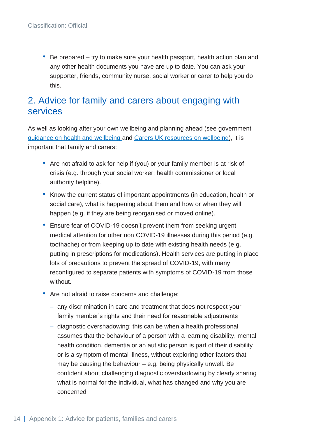• Be prepared – try to make sure your health passport, health action plan and any other health documents you have are up to date. You can ask your supporter, friends, community nurse, social worker or carer to help you do this.

### <span id="page-14-0"></span>2. Advice for family and carers about engaging with services

As well as looking after your own wellbeing and planning ahead (see government [guidance on health and wellbeing](https://www.gov.uk/government/publications/covid-19-guidance-for-the-public-on-mental-health-and-wellbeing/guidance-for-the-public-on-the-mental-health-and-wellbeing-aspects-of-coronavirus-covid-19) and [Carers UK resources on wellbeing\)](https://www.carersuk.org/help-and-advice/coronavirus-covid-19/coronavirus-mental-wellbeing), it is important that family and carers:

- Are not afraid to ask for help if (you) or your family member is at risk of crisis (e.g. through your social worker, health commissioner or local authority helpline).
- Know the current status of important appointments (in education, health or social care), what is happening about them and how or when they will happen (e.g. if they are being reorganised or moved online).
- Ensure fear of COVID-19 doesn't prevent them from seeking urgent medical attention for other non COVID-19 illnesses during this period (e.g. toothache) or from keeping up to date with existing health needs (e.g. putting in prescriptions for medications). Health services are putting in place lots of precautions to prevent the spread of COVID-19, with many reconfigured to separate patients with symptoms of COVID-19 from those without.
- Are not afraid to raise concerns and challenge:
	- any discrimination in care and treatment that does not respect your family member's rights and their need for reasonable adjustments
	- [diagnostic overshadowing:](https://www.gmc-uk.org/ethical-guidance/ethical-hub/learning-disabilities) this can be when a health professional assumes that the behaviour of a person with a learning disability, mental health condition, dementia or an autistic person is part of their disability or is a symptom of mental illness, without exploring other factors that may be causing the behaviour  $-$  e.g. being physically unwell. Be confident about challenging diagnostic overshadowing by clearly sharing what is normal for the individual, what has changed and why you are concerned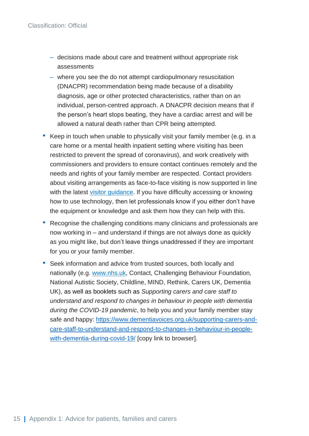- decisions made about care and treatment without appropriate risk assessments
- where you see the do not attempt cardiopulmonary resuscitation [\(DNACPR\)](https://www.england.nhs.uk/coronavirus/wp-content/uploads/sites/52/2020/04/C0166-Letter-DNACPR.pdf) recommendation being made because of a disability diagnosis, age or other protected characteristics, rather than on an individual, person-centred approach. A DNACPR decision means that if the person's heart stops beating, they have a cardiac arrest and will be allowed a natural death rather than CPR being attempted.
- Keep in touch when unable to physically visit your family member (e.g. in a care home or a mental health inpatient setting where visiting has been restricted to prevent the spread of coronavirus), and work creatively with commissioners and providers to ensure contact continues remotely and the needs and rights of your family member are respected. Contact providers about visiting arrangements as face-to-face visiting is now supported in line with the latest [visitor guidance.](https://www.england.nhs.uk/coronavirus/publication/visitor-guidance/) If you have difficulty accessing or knowing how to use technology, then let professionals know if you either don't have the equipment or knowledge and ask them how they can help with this.
- Recognise the challenging conditions many clinicians and professionals are now working in – and understand if things are not always done as quickly as you might like, but don't leave things unaddressed if they are important for you or your family member.
- Seek information and advice from trusted sources, both locally and nationally (e.g. [www.nhs.uk,](http://www.nhs.uk/) Contact, Challenging Behaviour Foundation, National Autistic Society, Childline, MIND, Rethink, Carers UK, Dementia UK), as well as booklets such as *Supporting carers and care staff to understand and respond to changes in behaviour in people with dementia during the COVID-19 pandemic*, to help you and your family member stay safe and happy: [https://www.dementiavoices.org.uk/supporting-carers-and](https://www.dementiavoices.org.uk/supporting-carers-and-care-staff-to-understand-and-respond-to-changes-in-behaviour-in-people-with-dementia-during-covid-19/)[care-staff-to-understand-and-respond-to-changes-in-behaviour-in-people](https://www.dementiavoices.org.uk/supporting-carers-and-care-staff-to-understand-and-respond-to-changes-in-behaviour-in-people-with-dementia-during-covid-19/)[with-dementia-during-covid-19/](https://www.dementiavoices.org.uk/supporting-carers-and-care-staff-to-understand-and-respond-to-changes-in-behaviour-in-people-with-dementia-during-covid-19/) [copy link to browser].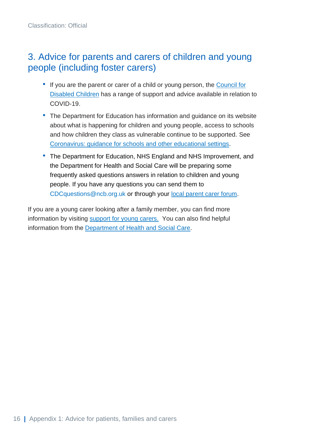### <span id="page-16-0"></span>3. Advice for parents and carers of children and young people (including foster carers)

- If you are the parent or carer of a child or young person, the [Council for](https://councilfordisabledchildren.org.uk/help-resources/resources/covid-19-support-and-guidance)  [Disabled Children](https://councilfordisabledchildren.org.uk/help-resources/resources/covid-19-support-and-guidance) has a range of support and advice available in relation to COVID-19.
- The Department for Education has information and guidance on its website about what is happening for children and young people, access to schools and how children they class as vulnerable continue to be supported. See [Coronavirus: guidance for schools and other educational settings.](https://www.gov.uk/government/collections/coronavirus-covid-19-guidance-for-schools-and-other-educational-settings)
- The Department for Education, NHS England and NHS Improvement, and the Department for Health and Social Care will be preparing some frequently asked questions answers in relation to children and young people. If you have any questions you can send them to [CDCquestions@ncb.org.uk](mailto:CDCquestions@ncb.org.uk) or through your [local parent carer forum.](http://www.nnpcf.org.uk/)

If you are a young carer looking after a family member, you can find more information by visiting [support for young carers.](https://carers.org/getting-support-if-you-are-a-young-carer-or-young-adult-carer/information-on-coronavirus-covid-19-for-young-carers-and-young-adult-carers) You can also find helpful information from the [Department of Health and Social Care.](https://www.gov.uk/government/publications/young-carers-and-young-adult-carers-providing-care-during-coronavirus)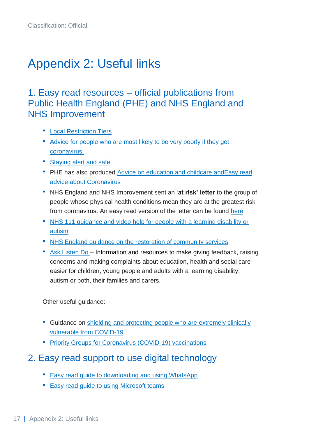# <span id="page-17-0"></span>Appendix 2: Useful links

### <span id="page-17-1"></span>1. Easy read resources – official publications from Public Health England (PHE) and NHS England and NHS Improvement

- [Local Restriction Tiers](https://www.gov.uk/government/publications/staying-alert-and-safe-social-distancing/staying-alert-and-safe-social-distancing)
- [Advice for people who are most likely to be very poorly if they get](https://www.gov.uk/government/publications/guidance-on-shielding-and-protecting-extremely-vulnerable-persons-from-covid-19)  [coronavirus.](https://www.gov.uk/government/publications/guidance-on-shielding-and-protecting-extremely-vulnerable-persons-from-covid-19)
- [Staying alert and safe](https://www.gov.uk/government/publications/covid-19-guidance-on-social-distancing-and-for-vulnerable-people)
- PHE has also produced [Advice on education and childcare](https://www.gov.uk/coronavirus/education-and-childcare) an[dEasy read](http://cdc.mobilize.io/links?lid=EYERsmtbJI-rRmEtuCZ4Gg&token=48yO0anXub9jj4j4JSFr8g&url=https%3A%2F%2Feur02.safelinks.protection.outlook.com%2F%3Furl%3Dhttps%253A%252F%252Feasy-read-online.us15.list-manage.com%252Ftrack%252Fclick%253Fu%253D6d563f7f763a0cf7e70c9cfe1%2526id%253D1effe5e60d%2526e%253D1a4a54ea5e%26data%3D02%257C01%257CAAllard%2540ncb.org.uk%257Caf891cc0fed7420ba55608d7ca566849%257Cadc87355e29c4519954f95e35c776178%257C0%257C0%257C637200344772998287%26sdata%3DDH8G1k44HQBwG65sot3pyRMJglcUAc5zawtq4%252FOgtkM%253D%26reserved%3D0)  [advice about Coronavirus](http://cdc.mobilize.io/links?lid=EYERsmtbJI-rRmEtuCZ4Gg&token=48yO0anXub9jj4j4JSFr8g&url=https%3A%2F%2Feur02.safelinks.protection.outlook.com%2F%3Furl%3Dhttps%253A%252F%252Feasy-read-online.us15.list-manage.com%252Ftrack%252Fclick%253Fu%253D6d563f7f763a0cf7e70c9cfe1%2526id%253D1effe5e60d%2526e%253D1a4a54ea5e%26data%3D02%257C01%257CAAllard%2540ncb.org.uk%257Caf891cc0fed7420ba55608d7ca566849%257Cadc87355e29c4519954f95e35c776178%257C0%257C0%257C637200344772998287%26sdata%3DDH8G1k44HQBwG65sot3pyRMJglcUAc5zawtq4%252FOgtkM%253D%26reserved%3D0)
- NHS England and NHS Improvement sent an '**at risk' letter** to the group of people whose physical health conditions mean they are at the greatest risk from coronavirus. An easy read version of the letter can be found [here](https://www.england.nhs.uk/coronavirus/publication/guidance-and-updates-for-gps-at-risk-patients/)
- [NHS 111 guidance and video help for people with a learning disability or](https://www.england.nhs.uk/learning-disabilities/about/resources/help-for-people-with-a-learning-disability-autism-or-both-to-use-nhs-111/)  [autism](https://www.england.nhs.uk/learning-disabilities/about/resources/help-for-people-with-a-learning-disability-autism-or-both-to-use-nhs-111/)
- [NHS England guidance on the restoration of community services](https://www.england.nhs.uk/coronavirus/publication/covid-19-prioritisation-within-community-health-services-with-annex_19-march-2020/)
- [Ask Listen Do](https://www.england.nhs.uk/learning-disabilities/about/ask-listen-do/) Information and resources to make giving feedback, raising concerns and making complaints about education, health and social care easier for children, young people and adults with a learning disability, autism or both, their families and carers.

Other useful guidance:

- Guidance on [shielding and protecting people who are](https://www.gov.uk/government/publications/guidance-on-shielding-and-protecting-extremely-vulnerable-persons-from-covid-19/guidance-on-shielding-and-protecting-extremely-vulnerable-persons-from-covid-19) extremely clinically [vulnerable from COVID-19](https://www.gov.uk/government/publications/guidance-on-shielding-and-protecting-extremely-vulnerable-persons-from-covid-19/guidance-on-shielding-and-protecting-extremely-vulnerable-persons-from-covid-19)
- [Priority Groups for Coronavirus \(COVID-19\) vaccinations](https://www.gov.uk/government/publications/priority-groups-for-coronavirus-covid-19-vaccination-advice-from-the-jcvi-2-december-2020/priority-groups-for-coronavirus-covid-19-vaccination-advice-from-the-jcvi-2-december-2020)

#### <span id="page-17-2"></span>2. Easy read support to use digital technology

- [Easy read guide to downloading and using WhatsApp](http://www.learningdisabilityengland.org.uk/wp-content/uploads/2020/03/whatsapp-an-easy-read-guide-DRAFT-v2.0.pdf)
- [Easy read guide to using](http://www.learningdisabilityengland.org.uk/wp-content/uploads/2020/03/how-to-use-microsoft-teams-guide-final.pdf) Microsoft teams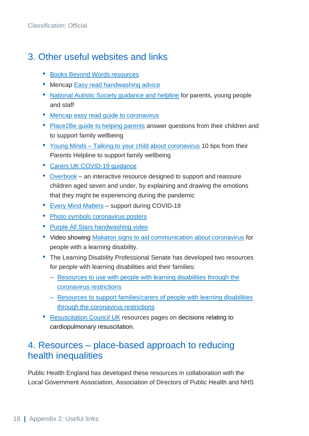## <span id="page-18-0"></span>3. Other useful websites and links

- [Books Beyond Words resources](https://booksbeyondwords.co.uk/downloads-shop/beating-the-virus)
- Mencap [Easy read handwashing advice](https://www.mencap.org.uk/sites/default/files/2020-04/Wash%20your%20hands%20easy%20read%20%20%281%29.pdf)
- [National Autistic Society guidance and helpline](https://www.autism.org.uk/) for parents, young people and staff
- [Mencap easy read guide to coronavirus](https://www.mencap.org.uk/sites/default/files/2020-07/Information%20about%20covid-19%20AH%20.pdf)
- [Place2Be guide to helping parents](https://www.place2be.org.uk/about-us/news-and-blogs/2020/march/coronavirus-information-for-children/) answer questions from their children and to support family wellbeing
- Young Minds [Talking to your child about coronavirus](https://youngminds.org.uk/blog/talking-to-your-child-about-coronavirus/) 10 tips from their Parents Helpline to support family wellbeing
- [Carers UK COVID-19 guidance](https://www.carersuk.org/help-and-advice/health/looking-after-your-health/coronavirus-covid-19)
- [Overbook](https://www.mindheart.co/descargables) an interactive resource designed to support and reassure children aged seven and under, by explaining and drawing the emotions that they might be experiencing during the pandemic
- [Every Mind Matters](https://www.nhs.uk/oneyou/every-mind-matters/coronavirus-covid-19-anxiety-tips/) support during COVID-19
- [Photo symbols coronavirus posters](https://www.photosymbols.com/blogs/news/coronavirus-poster-set)
- [Purple All Stars handwashing video](https://vimeo.com/134952598)
- Video showing [Makaton signs to aid communication about coronavirus](https://m.youtube.com/watch?v=P7BESn0yjpc) for people with a learning disability.
- The Learning Disability Professional Senate has developed two resources for people with learning disabilities and their families:
	- [Resources to use with people with learning disabilities through the](https://www.bild.org.uk/wp-content/uploads/2020/03/LD-Senate-Coronavirus-resources-for-use-with-people-with-learning-disabilities-30.3.2020.pdf)  [coronavirus restrictions](https://www.bild.org.uk/wp-content/uploads/2020/03/LD-Senate-Coronavirus-resources-for-use-with-people-with-learning-disabilities-30.3.2020.pdf)
	- [Resources to support families/carers of people with learning disabilities](https://www.bild.org.uk/wp-content/uploads/2020/03/LD-Senate-Coronavirus-resources-for-use-by-families-27.3.2020.pdf)  [through the coronavirus restrictions](https://www.bild.org.uk/wp-content/uploads/2020/03/LD-Senate-Coronavirus-resources-for-use-by-families-27.3.2020.pdf)
- [Resuscitation Council](https://www.resus.org.uk/library/publications/publication-decisions-relating-cardiopulmonary) UK resources pages on decisions relating to cardiopulmonary resuscitation.

### <span id="page-18-1"></span>4. Resources – place-based approach to reducing health inequalities

Public Health England has developed these resources in collaboration with the Local Government Association, Association of Directors of Public Health and NHS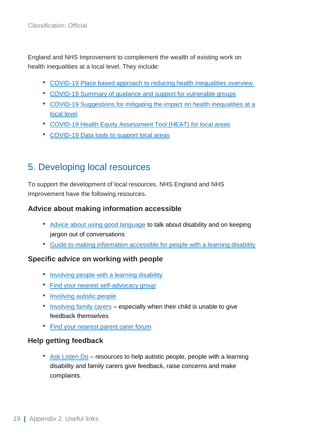England and NHS Improvement to complement the wealth of existing work on health inequalities at a local level. They include:

- [COVID-19 Place based approach to reducing health inequalities overview](https://www.local.gov.uk/sites/default/files/documents/COVID-19%20place%20based%20approach%20to%20reducing%20health%20inequalities%20overview.pdf)
- COVID-19 [Summary of guidance and support for vulnerable groups](https://www.local.gov.uk/sites/default/files/documents/COVID-19%20Summary%20of%20Guidance%20and%20support%20for%20vulnerable%20groups.pdf)
- [COVID-19 Suggestions for mitigating the impact on health inequalities at a](https://www.local.gov.uk/sites/default/files/documents/COVID-19%20Suggestions%20for%20mitigating%20the%20impact%20on%20health%20inequalities%20at%20a%20local%20level%20%282%29.pdf)  [local level](https://www.local.gov.uk/sites/default/files/documents/COVID-19%20Suggestions%20for%20mitigating%20the%20impact%20on%20health%20inequalities%20at%20a%20local%20level%20%282%29.pdf)
- [COVID-19 Health Equity Assessment Tool \(HEAT\) for local areas](https://www.local.gov.uk/sites/default/files/documents/COVID-19%20Health%20Equity%20Assessment%20Tool%20%28HEAT%29%20for%20local%20areas_0.pdf)
- <span id="page-19-0"></span>• [COVID-19 Data tools to support local areas](https://www.local.gov.uk/sites/default/files/documents/COVID-19%20Data%20tools%20to%20support%20local%20areas_0.pdf)

#### 5. Developing local resources

To support the development of local resources, NHS England and NHS Improvement have the following resources.

#### **Advice about making information accessible**

- [Advice about using good language](https://www.england.nhs.uk/learning-disabilities/about/get-involved/involving-people/making-information-and-the-words-we-use-accessible/) to talk about disability and on keeping jargon out of conversations
- [Guide to making information accessible for people with a learning disability](https://www.england.nhs.uk/publication/guide-to-making-information-accessible-for-people-with-a-learning-disability/)

#### **Specific advice on working with people**

- [Involving people with a learning disability](https://www.england.nhs.uk/learning-disabilities/about/get-involved/involving-people/involving-people-with-a-learning-disability/)
- [Find your nearest self-advocacy group](http://www.learningdisabilityengland.org.uk/wp-content/uploads/2019/01/list-for-LDE16690.pdf)
- [Involving autistic people](https://www.england.nhs.uk/learning-disabilities/about/get-involved/involving-people/involving-autistic-people/)
- [Involving family carers](https://www.england.nhs.uk/learning-disabilities/about/get-involved/involving-people/involving-families-and-carers/) especially when their child is unable to give feedback themselves
- [Find your nearest parent carer forum](https://contact.org.uk/media/1525967/contact_lists_for_website_aug_2019.pdf)

#### **Help getting feedback**

• [Ask Listen Do](https://www.england.nhs.uk/learning-disabilities/about/ask-listen-do/information-for-organisations/) – resources to help autistic people, people with a learning disability and family carers give feedback, raise concerns and make complaints.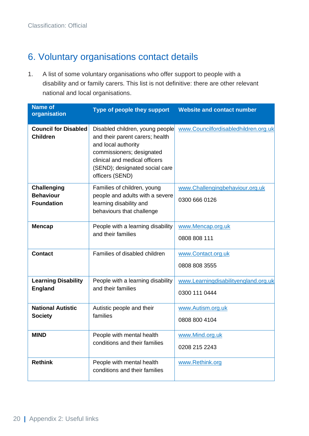## <span id="page-20-0"></span>6. Voluntary organisations contact details

1. A list of some voluntary organisations who offer support to people with a disability and or family carers. This list is not definitive: there are other relevant national and local organisations.

| <b>Name of</b><br>organisation                              | Type of people they support                                                                                                                                                                                  | <b>Website and contact number</b>                     |
|-------------------------------------------------------------|--------------------------------------------------------------------------------------------------------------------------------------------------------------------------------------------------------------|-------------------------------------------------------|
| <b>Council for Disabled</b><br><b>Children</b>              | Disabled children, young people<br>and their parent carers; health<br>and local authority<br>commissioners; designated<br>clinical and medical officers<br>(SEND); designated social care<br>officers (SEND) | www.Councilfordisabledhildren.org.uk                  |
| <b>Challenging</b><br><b>Behaviour</b><br><b>Foundation</b> | Families of children, young<br>people and adults with a severe<br>learning disability and<br>behaviours that challenge                                                                                       | www.Challengingbehaviour.org.uk<br>0300 666 0126      |
| <b>Mencap</b>                                               | People with a learning disability<br>and their families                                                                                                                                                      | www.Mencap.org.uk<br>0808 808 111                     |
| <b>Contact</b>                                              | Families of disabled children                                                                                                                                                                                | www.Contact.org.uk<br>0808 808 3555                   |
| <b>Learning Disability</b><br><b>England</b>                | People with a learning disability<br>and their families                                                                                                                                                      | www.Learningdisabilityengland.org.uk<br>0300 111 0444 |
| <b>National Autistic</b><br><b>Society</b>                  | Autistic people and their<br>families                                                                                                                                                                        | www.Autism.org.uk<br>0808 800 4104                    |
| <b>MIND</b>                                                 | People with mental health<br>conditions and their families                                                                                                                                                   | www.Mind.org.uk<br>0208 215 2243                      |
| <b>Rethink</b>                                              | People with mental health<br>conditions and their families                                                                                                                                                   | www.Rethink.org                                       |